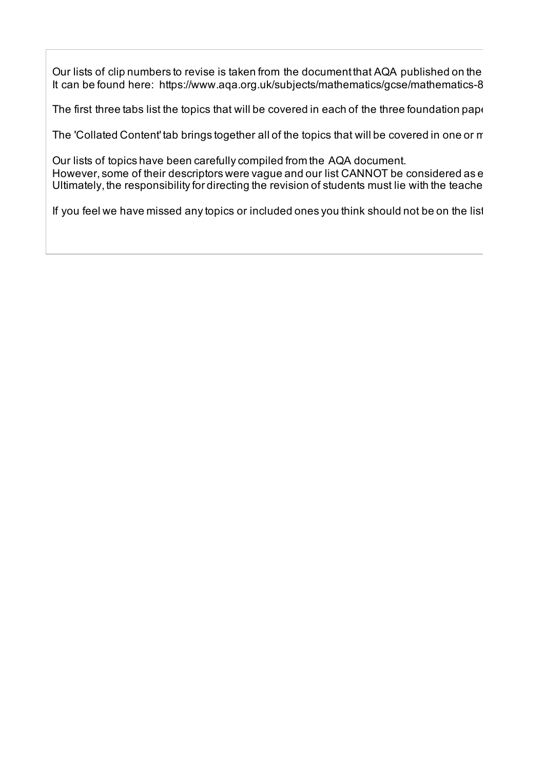Our lists of clip numbers to revise is taken from the document that AQA published on the It can be found here: https://www.aqa.org.uk/subjects/mathematics/gcse/mathematics-8

The first three tabs list the topics that will be covered in each of the three foundation paper

The 'Collated Content' tab brings together all of the topics that will be covered in one or  $r$ 

Our lists of topics have been carefully compiled from the AQA document. However, some of their descriptors were vague and our list CANNOT be considered as e Ultimately, the responsibility for directing the revision of students must lie with the teache

If you feel we have missed any topics or included ones you think should not be on the list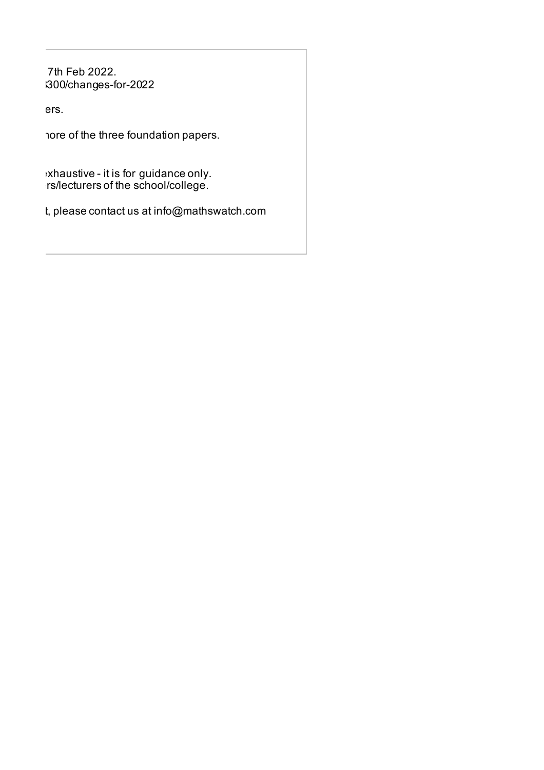7th Feb 2022. -8300/changes-for-2022

The first terms.

'ore of the three foundation papers.

xhaustive - it is for guidance only.  $\cdot$ rs/lecturers of the school/college.

t, please contact us at info@mathswatch.com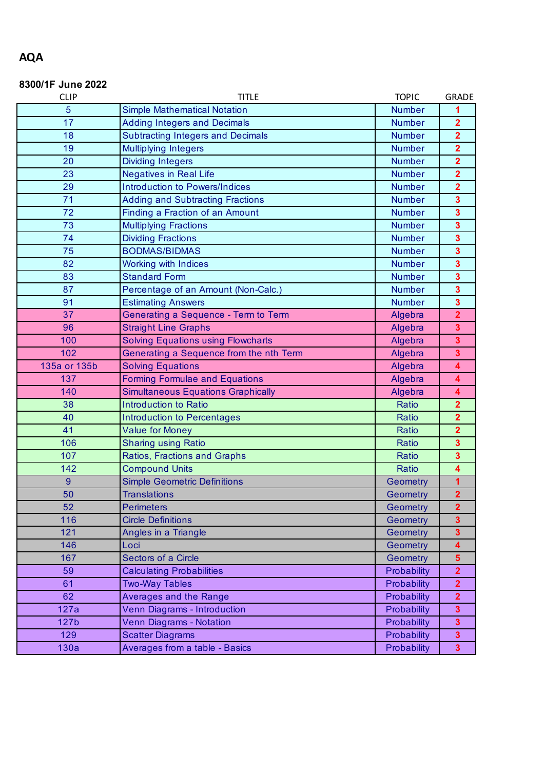# **8300/1F June 2022**

| <b>CLIP</b>  | <b>TITLE</b>                              | <b>TOPIC</b>  | <b>GRADE</b>            |
|--------------|-------------------------------------------|---------------|-------------------------|
| 5            | <b>Simple Mathematical Notation</b>       | <b>Number</b> | 1                       |
| 17           | <b>Adding Integers and Decimals</b>       | <b>Number</b> | $\overline{\mathbf{2}}$ |
| 18           | <b>Subtracting Integers and Decimals</b>  | <b>Number</b> | $\overline{\mathbf{2}}$ |
| 19           | <b>Multiplying Integers</b>               | <b>Number</b> | $\overline{\mathbf{2}}$ |
| 20           | <b>Dividing Integers</b>                  | <b>Number</b> | $\overline{\mathbf{2}}$ |
| 23           | <b>Negatives in Real Life</b>             | <b>Number</b> | $\overline{\mathbf{2}}$ |
| 29           | Introduction to Powers/Indices            | <b>Number</b> | $\overline{\mathbf{2}}$ |
| 71           | <b>Adding and Subtracting Fractions</b>   | <b>Number</b> | $\overline{\mathbf{3}}$ |
| 72           | Finding a Fraction of an Amount           | <b>Number</b> | $\overline{\mathbf{3}}$ |
| 73           | <b>Multiplying Fractions</b>              | <b>Number</b> | $\overline{\mathbf{3}}$ |
| 74           | <b>Dividing Fractions</b>                 | <b>Number</b> | $\overline{\mathbf{3}}$ |
| 75           | <b>BODMAS/BIDMAS</b>                      | <b>Number</b> | $\overline{\mathbf{3}}$ |
| 82           | <b>Working with Indices</b>               | <b>Number</b> | $\overline{\mathbf{3}}$ |
| 83           | <b>Standard Form</b>                      | <b>Number</b> | $\overline{\mathbf{3}}$ |
| 87           | Percentage of an Amount (Non-Calc.)       | <b>Number</b> | $\overline{\mathbf{3}}$ |
| 91           | <b>Estimating Answers</b>                 | <b>Number</b> | $\overline{\mathbf{3}}$ |
| 37           | Generating a Sequence - Term to Term      | Algebra       | $\overline{2}$          |
| 96           | <b>Straight Line Graphs</b>               | Algebra       | $\overline{\mathbf{3}}$ |
| 100          | <b>Solving Equations using Flowcharts</b> | Algebra       | $\overline{\mathbf{3}}$ |
| 102          | Generating a Sequence from the nth Term   | Algebra       | $\overline{\mathbf{3}}$ |
| 135a or 135b | <b>Solving Equations</b>                  | Algebra       | 4                       |
| 137          | <b>Forming Formulae and Equations</b>     | Algebra       | 4                       |
| 140          | <b>Simultaneous Equations Graphically</b> | Algebra       | $\overline{\mathbf{4}}$ |
| 38           | <b>Introduction to Ratio</b>              | Ratio         | $\overline{2}$          |
| 40           | <b>Introduction to Percentages</b>        | Ratio         | $\overline{2}$          |
| 41           | <b>Value for Money</b>                    | Ratio         | $\overline{2}$          |
| 106          | <b>Sharing using Ratio</b>                | Ratio         | $\overline{\mathbf{3}}$ |
| 107          | Ratios, Fractions and Graphs              | Ratio         | 3                       |
| 142          | <b>Compound Units</b>                     | Ratio         | 4                       |
| 9            | <b>Simple Geometric Definitions</b>       | Geometry      | 1                       |
| 50           | <b>Translations</b>                       | Geometry      | $\overline{\mathbf{2}}$ |
| 52           | <b>Perimeters</b>                         | Geometry      | $\overline{2}$          |
| 116          | <b>Circle Definitions</b>                 | Geometry      | 3                       |
| 121          | Angles in a Triangle                      | Geometry      | $\overline{\mathbf{3}}$ |
| 146          | Loci                                      | Geometry      | 4                       |
| 167          | Sectors of a Circle                       | Geometry      | $5\phantom{.0}$         |
| 59           | <b>Calculating Probabilities</b>          | Probability   | $\overline{2}$          |
| 61           | <b>Two-Way Tables</b>                     | Probability   | $\overline{\mathbf{2}}$ |
| 62           | Averages and the Range                    | Probability   | $\overline{2}$          |
| 127a         | Venn Diagrams - Introduction              | Probability   | $\overline{\mathbf{3}}$ |
| 127b         | Venn Diagrams - Notation                  | Probability   | 3                       |
| 129          | <b>Scatter Diagrams</b>                   | Probability   | $\mathbf{3}$            |
| 130a         | Averages from a table - Basics            | Probability   | $\overline{\mathbf{3}}$ |

### **AQA**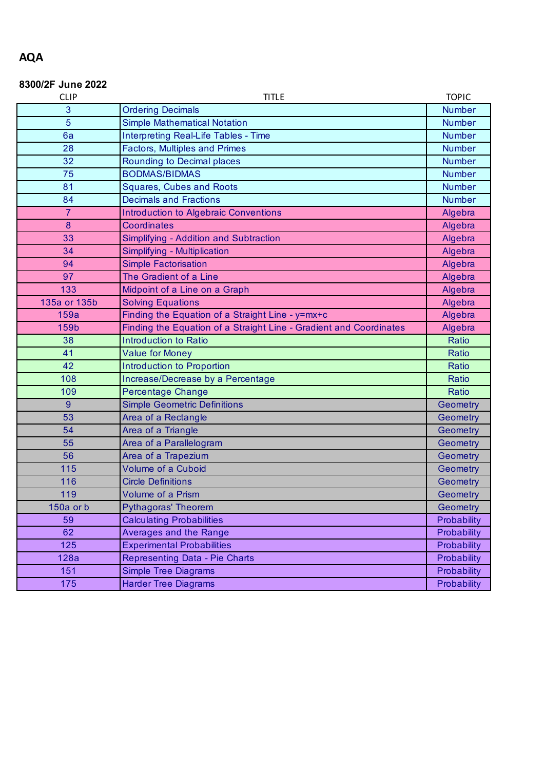#### **8300/2F June 2022**

| <b>CLIP</b>    | <b>TITLE</b>                                                       | <b>TOPIC</b>  |
|----------------|--------------------------------------------------------------------|---------------|
| 3              | <b>Ordering Decimals</b>                                           | <b>Number</b> |
| 5              | <b>Simple Mathematical Notation</b>                                | <b>Number</b> |
| 6a             | Interpreting Real-Life Tables - Time                               | <b>Number</b> |
| 28             | <b>Factors, Multiples and Primes</b>                               | <b>Number</b> |
| 32             | Rounding to Decimal places                                         | <b>Number</b> |
| 75             | <b>BODMAS/BIDMAS</b>                                               | <b>Number</b> |
| 81             | <b>Squares, Cubes and Roots</b>                                    | <b>Number</b> |
| 84             | <b>Decimals and Fractions</b>                                      | <b>Number</b> |
| $\overline{7}$ | <b>Introduction to Algebraic Conventions</b>                       | Algebra       |
| 8              | Coordinates                                                        | Algebra       |
| 33             | Simplifying - Addition and Subtraction                             | Algebra       |
| 34             | Simplifying - Multiplication                                       | Algebra       |
| 94             | <b>Simple Factorisation</b>                                        | Algebra       |
| 97             | The Gradient of a Line                                             | Algebra       |
| 133            | Midpoint of a Line on a Graph                                      | Algebra       |
| 135a or 135b   | <b>Solving Equations</b>                                           | Algebra       |
| 159a           | Finding the Equation of a Straight Line - y=mx+c                   | Algebra       |
| 159b           | Finding the Equation of a Straight Line - Gradient and Coordinates | Algebra       |
|                |                                                                    |               |
| 38             | <b>Introduction to Ratio</b>                                       | Ratio         |
| 41             | <b>Value for Money</b>                                             | Ratio         |
| 42             | Introduction to Proportion                                         | Ratio         |
| 108            | Increase/Decrease by a Percentage                                  | Ratio         |
| 109            | <b>Percentage Change</b>                                           | Ratio         |
| 9              | <b>Simple Geometric Definitions</b>                                | Geometry      |
| 53             | Area of a Rectangle                                                | Geometry      |
| 54             | Area of a Triangle                                                 | Geometry      |
| 55             | Area of a Parallelogram                                            | Geometry      |
| 56             | Area of a Trapezium                                                | Geometry      |
| 115            | <b>Volume of a Cuboid</b>                                          | Geometry      |
| 116            | <b>Circle Definitions</b>                                          | Geometry      |
| 119            | <b>Volume of a Prism</b>                                           | Geometry      |
| 150a or b      | <b>Pythagoras' Theorem</b>                                         | Geometry      |
| 59             | <b>Calculating Probabilities</b>                                   | Probability   |
| 62             | <b>Averages and the Range</b>                                      | Probability   |
| 125            | <b>Experimental Probabilities</b>                                  | Probability   |
| 128a           | Representing Data - Pie Charts                                     | Probability   |
| 151            | <b>Simple Tree Diagrams</b>                                        | Probability   |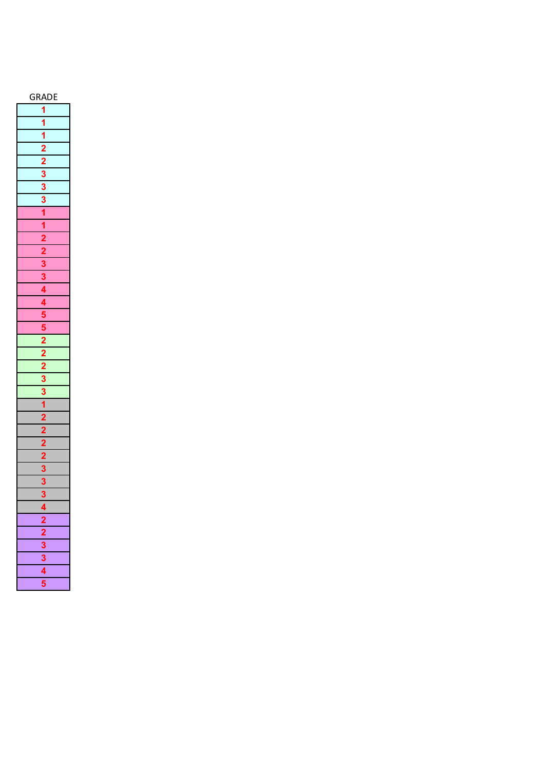| c                                                                     |  |  |  |  |
|-----------------------------------------------------------------------|--|--|--|--|
| $\frac{1}{3}$                                                         |  |  |  |  |
|                                                                       |  |  |  |  |
|                                                                       |  |  |  |  |
|                                                                       |  |  |  |  |
|                                                                       |  |  |  |  |
|                                                                       |  |  |  |  |
|                                                                       |  |  |  |  |
| $\frac{1}{2}$ $\frac{1}{2}$ $\frac{2}{3}$ $\frac{3}{3}$ $\frac{1}{3}$ |  |  |  |  |
|                                                                       |  |  |  |  |
| $\frac{1}{1}$                                                         |  |  |  |  |
|                                                                       |  |  |  |  |
|                                                                       |  |  |  |  |
|                                                                       |  |  |  |  |
|                                                                       |  |  |  |  |
|                                                                       |  |  |  |  |
|                                                                       |  |  |  |  |
|                                                                       |  |  |  |  |
|                                                                       |  |  |  |  |
|                                                                       |  |  |  |  |
|                                                                       |  |  |  |  |
|                                                                       |  |  |  |  |
|                                                                       |  |  |  |  |
|                                                                       |  |  |  |  |
| 1<br>2                                                                |  |  |  |  |
|                                                                       |  |  |  |  |
|                                                                       |  |  |  |  |
|                                                                       |  |  |  |  |
|                                                                       |  |  |  |  |
|                                                                       |  |  |  |  |
|                                                                       |  |  |  |  |
|                                                                       |  |  |  |  |
|                                                                       |  |  |  |  |
|                                                                       |  |  |  |  |
|                                                                       |  |  |  |  |
| $\frac{4}{2}$ $\frac{2}{3}$ $\frac{3}{4}$ $\frac{4}{5}$               |  |  |  |  |
|                                                                       |  |  |  |  |
|                                                                       |  |  |  |  |
|                                                                       |  |  |  |  |
|                                                                       |  |  |  |  |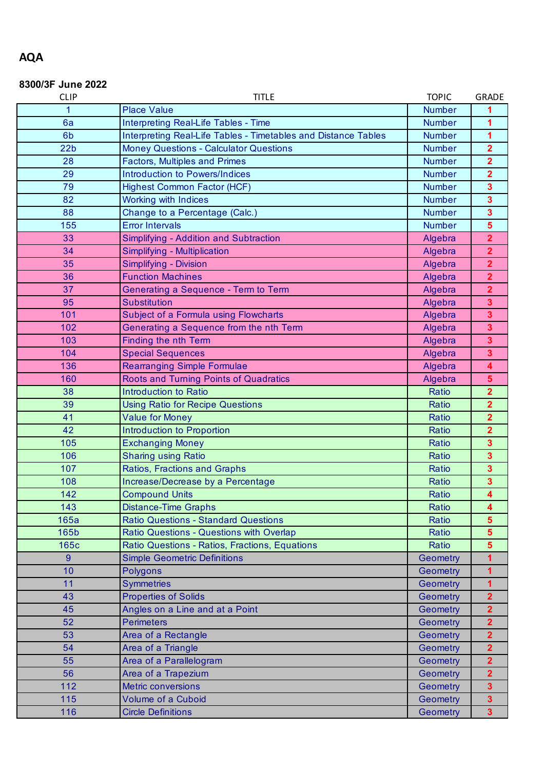## **AQA**

### **8300/3F June 2022**

| <b>CLIP</b>     | <b>TOPIC</b><br><b>TITLE</b>                                   |                 |                         |  |  |  |
|-----------------|----------------------------------------------------------------|-----------------|-------------------------|--|--|--|
| 1               | <b>Place Value</b>                                             | <b>Number</b>   |                         |  |  |  |
| 6a              | Interpreting Real-Life Tables - Time                           | <b>Number</b>   | 1                       |  |  |  |
| 6 <sub>b</sub>  | Interpreting Real-Life Tables - Timetables and Distance Tables | <b>Number</b>   | $\overline{1}$          |  |  |  |
| 22 <sub>b</sub> | <b>Money Questions - Calculator Questions</b>                  | <b>Number</b>   | $\overline{2}$          |  |  |  |
| 28              | <b>Factors, Multiples and Primes</b>                           | <b>Number</b>   | $\overline{2}$          |  |  |  |
| 29              | Introduction to Powers/Indices                                 | <b>Number</b>   | $\overline{\mathbf{2}}$ |  |  |  |
| 79              | <b>Highest Common Factor (HCF)</b>                             | <b>Number</b>   | $\overline{\mathbf{3}}$ |  |  |  |
| 82              | Working with Indices                                           | <b>Number</b>   | $\overline{\mathbf{3}}$ |  |  |  |
| 88              | Change to a Percentage (Calc.)                                 | <b>Number</b>   | $\overline{\mathbf{3}}$ |  |  |  |
| 155             | <b>Error Intervals</b>                                         | <b>Number</b>   | 5                       |  |  |  |
| 33              | Simplifying - Addition and Subtraction                         | Algebra         | $\overline{2}$          |  |  |  |
| 34              | Simplifying - Multiplication                                   | Algebra         | $\overline{2}$          |  |  |  |
| 35              | Simplifying - Division                                         | Algebra         | $\overline{\mathbf{2}}$ |  |  |  |
| 36              | <b>Function Machines</b>                                       | Algebra         | $\overline{2}$          |  |  |  |
| 37              | Generating a Sequence - Term to Term                           | Algebra         | $\overline{2}$          |  |  |  |
| 95              | Substitution                                                   | Algebra         | $\overline{\mathbf{3}}$ |  |  |  |
| 101             | Subject of a Formula using Flowcharts                          | Algebra         | $\overline{\mathbf{3}}$ |  |  |  |
| 102             | Generating a Sequence from the nth Term                        | Algebra         | $\overline{\mathbf{3}}$ |  |  |  |
| 103             | <b>Finding the nth Term</b>                                    | Algebra         | $\overline{\mathbf{3}}$ |  |  |  |
| 104             | <b>Special Sequences</b>                                       | Algebra         | $\overline{\mathbf{3}}$ |  |  |  |
| 136             | <b>Rearranging Simple Formulae</b>                             | Algebra         | $\overline{\mathbf{4}}$ |  |  |  |
| 160             | Roots and Turning Points of Quadratics                         | Algebra         | $\overline{\mathbf{5}}$ |  |  |  |
| 38              | Introduction to Ratio                                          | Ratio           | $\overline{2}$          |  |  |  |
| 39              | <b>Using Ratio for Recipe Questions</b>                        | Ratio           | $\overline{2}$          |  |  |  |
| 41              | <b>Value for Money</b>                                         | Ratio           | $\overline{2}$          |  |  |  |
| 42              | Introduction to Proportion                                     | Ratio           | $\overline{2}$          |  |  |  |
| 105             | <b>Exchanging Money</b>                                        | Ratio           | $\overline{\mathbf{3}}$ |  |  |  |
| 106             | <b>Sharing using Ratio</b>                                     | Ratio           | $\overline{\mathbf{3}}$ |  |  |  |
| 107             | Ratios, Fractions and Graphs                                   | Ratio           | $\overline{\mathbf{3}}$ |  |  |  |
| 108             | Increase/Decrease by a Percentage                              | Ratio           | $\overline{\mathbf{3}}$ |  |  |  |
| 142             | <b>Compound Units</b>                                          | Ratio           | $\overline{\mathbf{4}}$ |  |  |  |
| 143             | <b>Distance-Time Graphs</b>                                    | Ratio           | 4                       |  |  |  |
| 165a            | <b>Ratio Questions - Standard Questions</b>                    | Ratio           | $\overline{5}$          |  |  |  |
| 165b            | Ratio Questions - Questions with Overlap                       | Ratio           | $5\phantom{a}$          |  |  |  |
| 165c            | Ratio Questions - Ratios, Fractions, Equations                 | Ratio           | $5\phantom{.0}$         |  |  |  |
| 9               | <b>Simple Geometric Definitions</b>                            | Geometry        | 1                       |  |  |  |
| 10              | Polygons                                                       | Geometry        | 1                       |  |  |  |
| 11              | <b>Symmetries</b>                                              | <b>Geometry</b> | 1                       |  |  |  |
| 43              | <b>Properties of Solids</b>                                    | Geometry        | $\overline{2}$          |  |  |  |
| 45              | Angles on a Line and at a Point                                | Geometry        | $\overline{2}$          |  |  |  |
| 52              | <b>Perimeters</b>                                              | Geometry        | $\overline{2}$          |  |  |  |
| 53              | Area of a Rectangle                                            | Geometry        | $\overline{2}$          |  |  |  |
| 54              | Area of a Triangle                                             | Geometry        | $\overline{2}$          |  |  |  |
| 55              | Area of a Parallelogram                                        | Geometry        | $\overline{2}$          |  |  |  |
| 56              | Area of a Trapezium                                            | Geometry        | $\overline{2}$          |  |  |  |
| 112             | Metric conversions                                             | Geometry        | $\overline{\mathbf{3}}$ |  |  |  |
| 115             | <b>Volume of a Cuboid</b>                                      | Geometry        | $\overline{\mathbf{3}}$ |  |  |  |
| 116             | <b>Circle Definitions</b>                                      | Geometry        | 3 <sup>1</sup>          |  |  |  |
|                 |                                                                |                 |                         |  |  |  |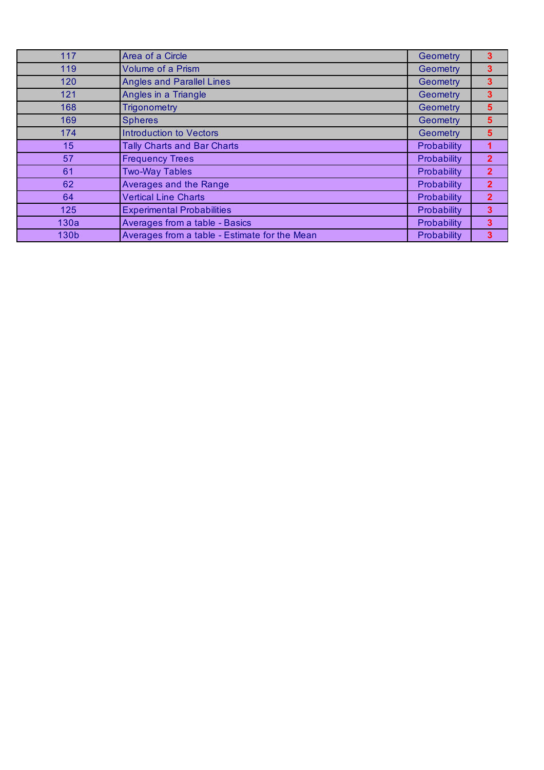| 117             | Area of a Circle                              | Geometry    | 3              |
|-----------------|-----------------------------------------------|-------------|----------------|
| 119             | <b>Volume of a Prism</b>                      | Geometry    | 3              |
| 120             | <b>Angles and Parallel Lines</b>              | Geometry    | 3              |
| 121             | Angles in a Triangle                          | Geometry    | 3              |
| 168             | <b>Trigonometry</b>                           | Geometry    | 5              |
| 169             | <b>Spheres</b>                                | Geometry    | 5              |
| 174             | <b>Introduction to Vectors</b>                | Geometry    | 5              |
| 15 <sub>1</sub> | <b>Tally Charts and Bar Charts</b>            | Probability |                |
| 57              | <b>Frequency Trees</b>                        | Probability | $\overline{2}$ |
| 61              | <b>Two-Way Tables</b>                         | Probability | $\overline{2}$ |
| 62              | Averages and the Range                        | Probability | $\overline{2}$ |
| 64              | <b>Vertical Line Charts</b>                   | Probability | $\overline{2}$ |
| 125             | <b>Experimental Probabilities</b>             | Probability | 3              |
| 130a            | Averages from a table - Basics                | Probability | 3              |
| 130b            | Averages from a table - Estimate for the Mean | Probability | 3              |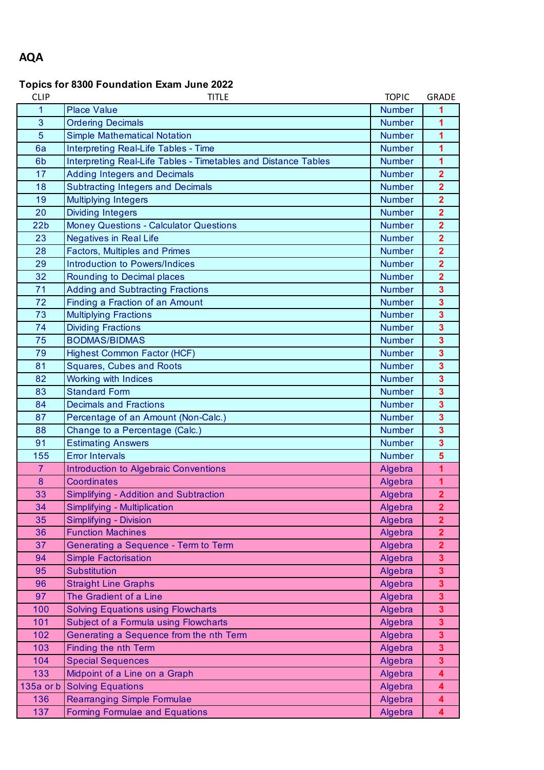## **AQA**

### **Topics for 8300 Foundation Exam June 2022**

| <b>CLIP</b>      | <b>TITLE</b>                                                   | <b>TOPIC</b>  | <b>GRADE</b>            |
|------------------|----------------------------------------------------------------|---------------|-------------------------|
| 1                | <b>Place Value</b>                                             | <b>Number</b> | 1                       |
| 3                | <b>Ordering Decimals</b>                                       | <b>Number</b> | 1                       |
| $\overline{5}$   | <b>Simple Mathematical Notation</b>                            | <b>Number</b> | 1                       |
| 6a               | Interpreting Real-Life Tables - Time                           | <b>Number</b> | 1                       |
| 6b               | Interpreting Real-Life Tables - Timetables and Distance Tables | <b>Number</b> | 1                       |
| 17               | <b>Adding Integers and Decimals</b>                            | <b>Number</b> | $\overline{\mathbf{2}}$ |
| 18               | <b>Subtracting Integers and Decimals</b>                       | <b>Number</b> | $\overline{\mathbf{2}}$ |
| 19               | <b>Multiplying Integers</b>                                    | <b>Number</b> | $\overline{\mathbf{2}}$ |
| 20               | <b>Dividing Integers</b>                                       | <b>Number</b> | $\overline{2}$          |
| 22 <sub>b</sub>  | <b>Money Questions - Calculator Questions</b>                  | <b>Number</b> | $\overline{\mathbf{2}}$ |
| 23               | <b>Negatives in Real Life</b>                                  | <b>Number</b> | $\overline{\mathbf{2}}$ |
| 28               | <b>Factors, Multiples and Primes</b>                           | <b>Number</b> | $\overline{\mathbf{2}}$ |
| 29               | Introduction to Powers/Indices                                 | <b>Number</b> | $\overline{\mathbf{2}}$ |
| 32               | Rounding to Decimal places                                     | <b>Number</b> | $\overline{2}$          |
| 71               | <b>Adding and Subtracting Fractions</b>                        | <b>Number</b> | $\overline{\mathbf{3}}$ |
| 72               | Finding a Fraction of an Amount                                | <b>Number</b> | $\overline{\mathbf{3}}$ |
| 73               | <b>Multiplying Fractions</b>                                   | <b>Number</b> | $\overline{\mathbf{3}}$ |
| 74               | <b>Dividing Fractions</b>                                      | <b>Number</b> | $\overline{\mathbf{3}}$ |
| 75               | <b>BODMAS/BIDMAS</b>                                           | <b>Number</b> | $\overline{\mathbf{3}}$ |
| 79               | <b>Highest Common Factor (HCF)</b>                             | <b>Number</b> | $\overline{\mathbf{3}}$ |
| 81               | <b>Squares, Cubes and Roots</b>                                | <b>Number</b> | $\overline{\mathbf{3}}$ |
| 82               | <b>Working with Indices</b>                                    | <b>Number</b> | $\overline{\mathbf{3}}$ |
| 83               | <b>Standard Form</b>                                           | <b>Number</b> | $\overline{\mathbf{3}}$ |
| 84               | <b>Decimals and Fractions</b>                                  | <b>Number</b> | $\overline{\mathbf{3}}$ |
| 87               | Percentage of an Amount (Non-Calc.)                            | <b>Number</b> | $\overline{\mathbf{3}}$ |
| 88               | Change to a Percentage (Calc.)                                 | <b>Number</b> | $\overline{\mathbf{3}}$ |
| 91               | <b>Estimating Answers</b>                                      | <b>Number</b> | $\overline{\mathbf{3}}$ |
| 155              | <b>Error Intervals</b>                                         | <b>Number</b> | 5                       |
| $\overline{7}$   | <b>Introduction to Algebraic Conventions</b>                   | Algebra       | 1                       |
| $\boldsymbol{8}$ | <b>Coordinates</b>                                             | Algebra       | 1                       |
| 33               | Simplifying - Addition and Subtraction                         | Algebra       | $\overline{2}$          |
| 34               | Simplifying - Multiplication                                   | Algebra       | $\overline{\mathbf{2}}$ |
| 35               | Simplifying - Division                                         | Algebra       | $\overline{\mathbf{2}}$ |
| 36               | <b>Function Machines</b>                                       | Algebra       | $\overline{2}$          |
| 37               | Generating a Sequence - Term to Term                           | Algebra       | $\overline{2}$          |
| 94               | <b>Simple Factorisation</b>                                    | Algebra       | 3                       |
| 95               | <b>Substitution</b>                                            | Algebra       | 3                       |
| 96               | <b>Straight Line Graphs</b>                                    | Algebra       | $\overline{\mathbf{3}}$ |
| 97               | The Gradient of a Line                                         | Algebra       | 3                       |
| 100              | <b>Solving Equations using Flowcharts</b>                      | Algebra       | 3                       |
| 101              | Subject of a Formula using Flowcharts                          | Algebra       | $\overline{\mathbf{3}}$ |
| 102              | Generating a Sequence from the nth Term                        | Algebra       | 3                       |
| 103              | Finding the nth Term                                           | Algebra       | 3                       |
| 104              | <b>Special Sequences</b>                                       | Algebra       | $\overline{\mathbf{3}}$ |
| 133              | Midpoint of a Line on a Graph                                  | Algebra       | 4                       |
| $135a$ or $b$    | <b>Solving Equations</b>                                       | Algebra       | 4                       |
| 136              | Rearranging Simple Formulae                                    | Algebra       | 4                       |
| 137              | <b>Forming Formulae and Equations</b>                          | Algebra       | 4                       |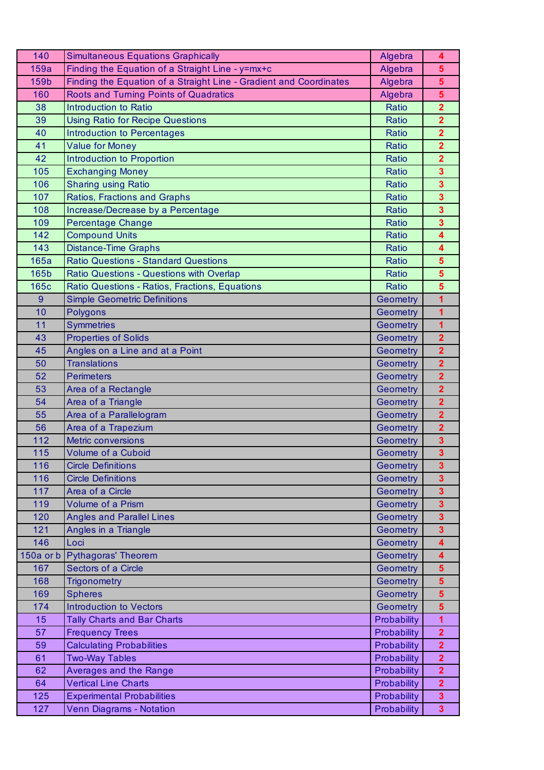| 140       | <b>Simultaneous Equations Graphically</b>                          | Algebra      | 4                       |
|-----------|--------------------------------------------------------------------|--------------|-------------------------|
| 159a      | Finding the Equation of a Straight Line - y=mx+c                   | Algebra      | $\overline{\mathbf{5}}$ |
| 159b      | Finding the Equation of a Straight Line - Gradient and Coordinates | Algebra      | $\overline{\mathbf{5}}$ |
| 160       | Roots and Turning Points of Quadratics                             | Algebra      | $\overline{\mathbf{5}}$ |
| 38        | Introduction to Ratio                                              | Ratio        | $\overline{\mathbf{2}}$ |
| 39        | <b>Using Ratio for Recipe Questions</b>                            | Ratio        | $\overline{\mathbf{2}}$ |
| 40        | <b>Introduction to Percentages</b>                                 | Ratio        | $\overline{\mathbf{2}}$ |
| 41        | <b>Value for Money</b>                                             | Ratio        | $\overline{\mathbf{2}}$ |
| 42        | Introduction to Proportion                                         | Ratio        | $\overline{2}$          |
| 105       | <b>Exchanging Money</b>                                            | Ratio        | $\overline{\mathbf{3}}$ |
| 106       | <b>Sharing using Ratio</b>                                         | Ratio        | $\overline{\mathbf{3}}$ |
| 107       | <b>Ratios, Fractions and Graphs</b>                                | Ratio        | $\overline{\mathbf{3}}$ |
| 108       | Increase/Decrease by a Percentage                                  | Ratio        | $\overline{\mathbf{3}}$ |
| 109       | <b>Percentage Change</b>                                           | Ratio        | $\overline{\mathbf{3}}$ |
| 142       | <b>Compound Units</b>                                              | Ratio        | 4                       |
| 143       | <b>Distance-Time Graphs</b>                                        | <b>Ratio</b> | 4                       |
| 165a      | <b>Ratio Questions - Standard Questions</b>                        | Ratio        | $5\phantom{1}$          |
| 165b      | Ratio Questions - Questions with Overlap                           | Ratio        | $5\phantom{1}$          |
| 165c      | Ratio Questions - Ratios, Fractions, Equations                     | Ratio        | 5                       |
| 9         | <b>Simple Geometric Definitions</b>                                | Geometry     | 1                       |
| 10        | <b>Polygons</b>                                                    | Geometry     | 1                       |
| 11        | <b>Symmetries</b>                                                  | Geometry     | 1                       |
| 43        | <b>Properties of Solids</b>                                        | Geometry     | $\overline{2}$          |
| 45        | Angles on a Line and at a Point                                    | Geometry     | $\overline{\mathbf{2}}$ |
| 50        | <b>Translations</b>                                                | Geometry     | $\overline{2}$          |
| 52        | <b>Perimeters</b>                                                  | Geometry     | $\overline{\mathbf{2}}$ |
| 53        | Area of a Rectangle                                                | Geometry     | $\overline{\mathbf{2}}$ |
| 54        | Area of a Triangle                                                 | Geometry     | $\overline{2}$          |
| 55        | Area of a Parallelogram                                            | Geometry     | $\overline{2}$          |
| 56        | Area of a Trapezium                                                | Geometry     | $\overline{2}$          |
| 112       | <b>Metric conversions</b>                                          | Geometry     | 3                       |
| 115       | Volume of a Cuboid                                                 | Geometry     | $\overline{\mathbf{3}}$ |
| 116       | <b>Circle Definitions</b>                                          | Geometry     | 3                       |
| 116       | <b>Circle Definitions</b>                                          | Geometry     | 3                       |
| 117       | Area of a Circle                                                   | Geometry     | $\overline{\mathbf{3}}$ |
| 119       | Volume of a Prism                                                  | Geometry     | 3                       |
| 120       | <b>Angles and Parallel Lines</b>                                   | Geometry     | $\overline{\mathbf{3}}$ |
| 121       | Angles in a Triangle                                               | Geometry     | $\overline{\mathbf{3}}$ |
| 146       | Loci                                                               | Geometry     | 4                       |
| 150a or b | <b>Pythagoras' Theorem</b>                                         | Geometry     | 4                       |
| 167       | Sectors of a Circle                                                | Geometry     | $\overline{\mathbf{5}}$ |
| 168       | <b>Trigonometry</b>                                                | Geometry     | 5                       |
| 169       | <b>Spheres</b>                                                     | Geometry     | $5\phantom{1}$          |
| 174       | <b>Introduction to Vectors</b>                                     | Geometry     | $\overline{\mathbf{5}}$ |
| 15        | <b>Tally Charts and Bar Charts</b>                                 | Probability  | 1                       |
| 57        | <b>Frequency Trees</b>                                             | Probability  | $\overline{2}$          |
| 59        | <b>Calculating Probabilities</b>                                   | Probability  | $\overline{2}$          |
| 61        | <b>Two-Way Tables</b>                                              | Probability  | $\overline{2}$          |
| 62        | Averages and the Range                                             | Probability  | $\overline{2}$          |
| 64        | <b>Vertical Line Charts</b>                                        | Probability  | $\overline{2}$          |
| 125       | <b>Experimental Probabilities</b>                                  | Probability  | 3                       |
| 127       | Venn Diagrams - Notation                                           | Probability  | $\overline{\mathbf{3}}$ |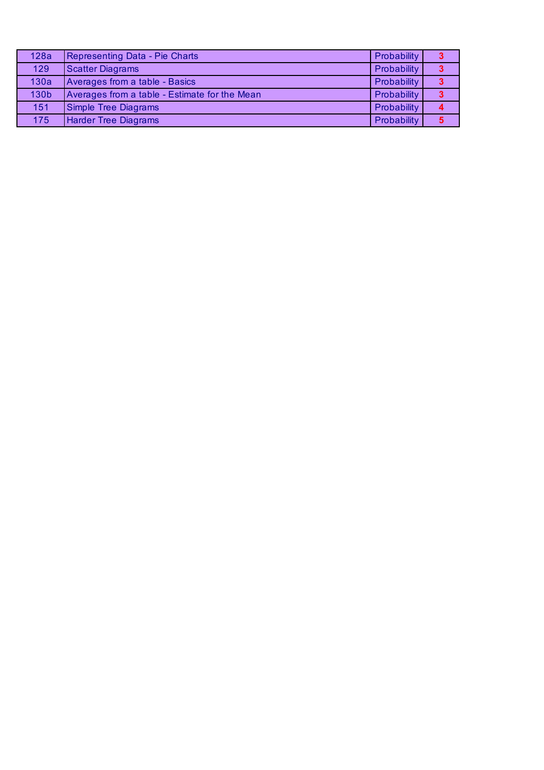| 128a | Representing Data - Pie Charts                | Probability | 3 |
|------|-----------------------------------------------|-------------|---|
| 129  | <b>Scatter Diagrams</b>                       | Probability | 3 |
| 130a | Averages from a table - Basics                | Probability | 3 |
| 130b | Averages from a table - Estimate for the Mean | Probability | 3 |
| 151  | Simple Tree Diagrams                          | Probability |   |
| 175  | <b>Harder Tree Diagrams</b>                   | Probability |   |